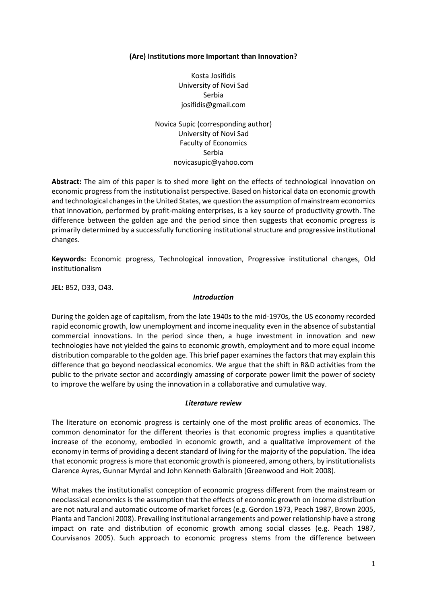### **(Are) Institutions more Important than Innovation?**

Kosta Josifidis University of Novi Sad Serbia [josifidis@gmail.com](mailto:josifidis@gmail.com)

Novica Supic (corresponding author) University of Novi Sad Faculty of Economics Serbia [novicasupic@yahoo.com](mailto:novicasupic@yahoo.com)

**Abstract:** The aim of this paper is to shed more light on the effects of technological innovation on economic progress from the institutionalist perspective. Based on historical data on economic growth and technological changes in the United States, we question the assumption of mainstream economics that innovation, performed by profit-making enterprises, is a key source of productivity growth. The difference between the golden age and the period since then suggests that economic progress is primarily determined by a successfully functioning institutional structure and progressive institutional changes.

**Keywords:** Economic progress, Technological innovation, Progressive institutional changes, Old institutionalism

**JEL:** B52, O33, O43.

#### *Introduction*

During the golden age of capitalism, from the late 1940s to the mid-1970s, the US economy recorded rapid economic growth, low unemployment and income inequality even in the absence of substantial commercial innovations. In the period since then, a huge investment in innovation and new technologies have not yielded the gains to economic growth, employment and to more equal income distribution comparable to the golden age. This brief paper examines the factors that may explain this difference that go beyond neoclassical economics. We argue that the shift in R&D activities from the public to the private sector and accordingly amassing of corporate power limit the power of society to improve the welfare by using the innovation in a collaborative and cumulative way.

#### *Literature review*

The literature on economic progress is certainly one of the most prolific areas of economics. The common denominator for the different theories is that economic progress implies a quantitative increase of the economy, embodied in economic growth, and a qualitative improvement of the economy in terms of providing a decent standard of living for the majority of the population. The idea that economic progress is more that economic growth is pioneered, among others, by institutionalists Clarence Ayres, Gunnar Myrdal and John Kenneth Galbraith (Greenwood and Holt 2008).

What makes the institutionalist conception of economic progress different from the mainstream or neoclassical economics is the assumption that the effects of economic growth on income distribution are not natural and automatic outcome of market forces (e.g. Gordon 1973, Peach 1987, Brown 2005, Pianta and Tancioni 2008). Prevailing institutional arrangements and power relationship have a strong impact on rate and distribution of economic growth among social classes (e.g. Peach 1987, Courvisanos 2005). Such approach to economic progress stems from the difference between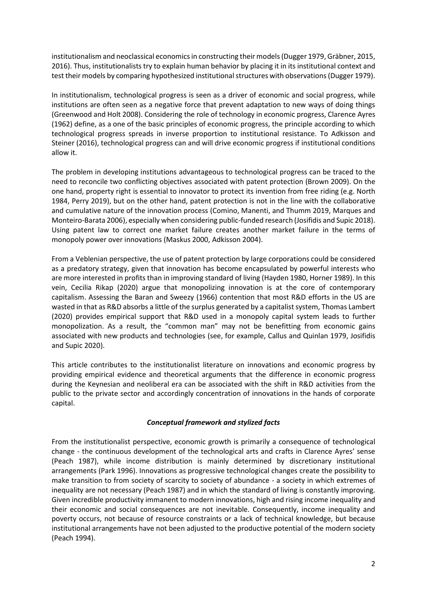institutionalism and neoclassical economics in constructing their models(Dugger 1979, Gräbner, 2015, 2016). Thus, institutionalists try to explain human behavior by placing it in its institutional context and test their models by comparing hypothesized institutional structures with observations (Dugger 1979).

In institutionalism, technological progress is seen as a driver of economic and social progress, while institutions are often seen as a negative force that prevent adaptation to new ways of doing things (Greenwood and Holt 2008). Considering the role of technology in economic progress, Clarence Ayres (1962) define, as a one of the basic principles of economic progress, the principle according to which technological progress spreads in inverse proportion to institutional resistance. To Adkisson and Steiner (2016), technological progress can and will drive economic progress if institutional conditions allow it.

The problem in developing institutions advantageous to technological progress can be traced to the need to reconcile two conflicting objectives associated with patent protection (Brown 2009). On the one hand, property right is essential to innovator to protect its invention from free riding (e.g. North 1984, Perry 2019), but on the other hand, patent protection is not in the line with the collaborative and cumulative nature of the innovation process (Comino, Manenti, and Thumm 2019, Marques and Monteiro‐Barata 2006), especially when considering public-funded research (Josifidis and Supic 2018). Using patent law to correct one market failure creates another market failure in the terms of monopoly power over innovations (Maskus 2000, Adkisson 2004).

From a Veblenian perspective, the use of patent protection by large corporations could be considered as a predatory strategy, given that innovation has become encapsulated by powerful interests who are more interested in profits than in improving standard of living (Hayden 1980, Horner 1989). In this vein, Cecilia Rikap (2020) argue that monopolizing innovation is at the core of contemporary capitalism. Assessing the Baran and Sweezy (1966) contention that most R&D efforts in the US are wasted in that as R&D absorbs a little of the surplus generated by a capitalist system, Thomas Lambert (2020) provides empirical support that R&D used in a monopoly capital system leads to further monopolization. As a result, the "common man" may not be benefitting from economic gains associated with new products and technologies (see, for example, Callus and Quinlan 1979, Josifidis and Supic 2020).

This article contributes to the institutionalist literature on innovations and economic progress by providing empirical evidence and theoretical arguments that the difference in economic progress during the Keynesian and neoliberal era can be associated with the shift in R&D activities from the public to the private sector and accordingly concentration of innovations in the hands of corporate capital.

# *Conceptual framework and stylized facts*

From the institutionalist perspective, economic growth is primarily a consequence of technological change - the continuous development of the technological arts and crafts in Clarence Ayres' sense (Peach 1987), while income distribution is mainly determined by discretionary institutional arrangements (Park 1996). Innovations as progressive technological changes create the possibility to make transition to from society of scarcity to society of abundance - a society in which extremes of inequality are not necessary (Peach 1987) and in which the standard of living is constantly improving. Given incredible productivity immanent to modern innovations, high and rising income inequality and their economic and social consequences are not inevitable. Consequently, income inequality and poverty occurs, not because of resource constraints or a lack of technical knowledge, but because institutional arrangements have not been adjusted to the productive potential of the modern society (Peach 1994).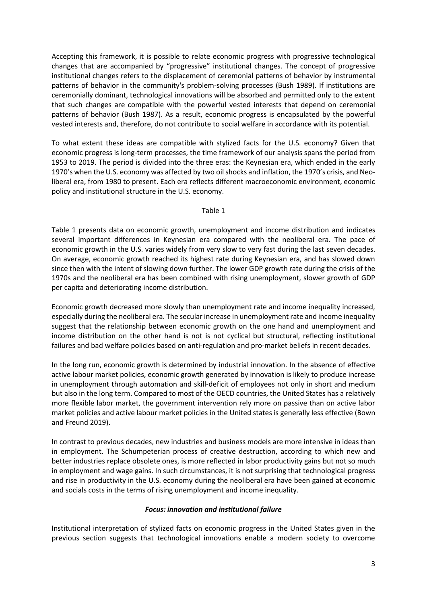Accepting this framework, it is possible to relate economic progress with progressive technological changes that are accompanied by "progressive" institutional changes. The concept of progressive institutional changes refers to the displacement of ceremonial patterns of behavior by instrumental patterns of behavior in the community's problem-solving processes (Bush 1989). If institutions are ceremonially dominant, technological innovations will be absorbed and permitted only to the extent that such changes are compatible with the powerful vested interests that depend on ceremonial patterns of behavior (Bush 1987). As a result, economic progress is encapsulated by the powerful vested interests and, therefore, do not contribute to social welfare in accordance with its potential.

To what extent these ideas are compatible with stylized facts for the U.S. economy? Given that economic progress is long-term processes, the time framework of our analysis spans the period from 1953 to 2019. The period is divided into the three eras: the Keynesian era, which ended in the early 1970's when the U.S. economy was affected by two oil shocks and inflation, the 1970's crisis, and Neoliberal era, from 1980 to present. Each era reflects different macroeconomic environment, economic policy and institutional structure in the U.S. economy.

# Table 1

Table 1 presents data on economic growth, unemployment and income distribution and indicates several important differences in Keynesian era compared with the neoliberal era. The pace of economic growth in the U.S. varies widely from very slow to very fast during the last seven decades. On average, economic growth reached its highest rate during Keynesian era, and has slowed down since then with the intent of slowing down further. The lower GDP growth rate during the crisis of the 1970s and the neoliberal era has been combined with rising unemployment, slower growth of GDP per capita and deteriorating income distribution.

Economic growth decreased more slowly than unemployment rate and income inequality increased, especially during the neoliberal era. The secular increase in unemployment rate and income inequality suggest that the relationship between economic growth on the one hand and unemployment and income distribution on the other hand is not is not cyclical but structural, reflecting institutional failures and bad welfare policies based on anti-regulation and pro-market beliefs in recent decades.

In the long run, economic growth is determined by industrial innovation. In the absence of effective active labour market policies, economic growth generated by innovation is likely to produce increase in unemployment through automation and skill-deficit of employees not only in short and medium but also in the long term. Compared to most of the OECD countries, the United States has a relatively more flexible labor market, the government intervention rely more on passive than on active labor market policies and active labour market policies in the United states is generally less effective (Bown and Freund 2019).

In contrast to previous decades, new industries and business models are more intensive in ideas than in employment. The Schumpeterian process of creative destruction, according to which new and better industries replace obsolete ones, is more reflected in labor productivity gains but not so much in employment and wage gains. In such circumstances, it is not surprising that technological progress and rise in productivity in the U.S. economy during the neoliberal era have been gained at economic and socials costs in the terms of rising unemployment and income inequality.

# *Focus: innovation and institutional failure*

Institutional interpretation of stylized facts on economic progress in the United States given in the previous section suggests that technological innovations enable a modern society to overcome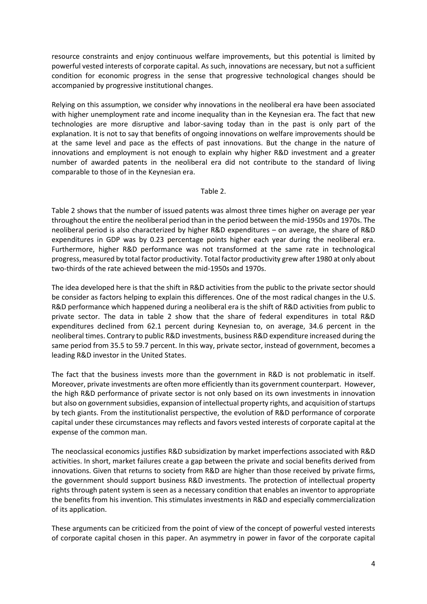resource constraints and enjoy continuous welfare improvements, but this potential is limited by powerful vested interests of corporate capital. As such, innovations are necessary, but not a sufficient condition for economic progress in the sense that progressive technological changes should be accompanied by progressive institutional changes.

Relying on this assumption, we consider why innovations in the neoliberal era have been associated with higher unemployment rate and income inequality than in the Keynesian era. The fact that new technologies are more disruptive and labor-saving today than in the past is only part of the explanation. It is not to say that benefits of ongoing innovations on welfare improvements should be at the same level and pace as the effects of past innovations. But the change in the nature of innovations and employment is not enough to explain why higher R&D investment and a greater number of awarded patents in the neoliberal era did not contribute to the standard of living comparable to those of in the Keynesian era.

#### Table 2.

Table 2 shows that the number of issued patents was almost three times higher on average per year throughout the entire the neoliberal period than in the period between the mid-1950s and 1970s. The neoliberal period is also characterized by higher R&D expenditures – on average, the share of R&D expenditures in GDP was by 0.23 percentage points higher each year during the neoliberal era. Furthermore, higher R&D performance was not transformed at the same rate in technological progress, measured by total factor productivity. Total factor productivity grew after 1980 at only about two-thirds of the rate achieved between the mid-1950s and 1970s.

The idea developed here is that the shift in R&D activities from the public to the private sector should be consider as factors helping to explain this differences. One of the most radical changes in the U.S. R&D performance which happened during a neoliberal era is the shift of R&D activities from public to private sector. The data in table 2 show that the share of federal expenditures in total R&D expenditures declined from 62.1 percent during Keynesian to, on average, 34.6 percent in the neoliberal times. Contrary to public R&D investments, business R&D expenditure increased during the same period from 35.5 to 59.7 percent. In this way, private sector, instead of government, becomes a leading R&D investor in the United States.

The fact that the business invests more than the government in R&D is not problematic in itself. Moreover, private investments are often more efficiently than its government counterpart. However, the high R&D performance of private sector is not only based on its own investments in innovation but also on government subsidies, expansion of intellectual property rights, and acquisition of startups by tech giants. From the institutionalist perspective, the evolution of R&D performance of corporate capital under these circumstances may reflects and favors vested interests of corporate capital at the expense of the common man.

The neoclassical economics justifies R&D subsidization by market imperfections associated with R&D activities. In short, market failures create a gap between the private and social benefits derived from innovations. Given that returns to society from R&D are higher than those received by private firms, the government should support business R&D investments. The protection of intellectual property rights through patent system is seen as a necessary condition that enables an inventor to appropriate the benefits from his invention. This stimulates investments in R&D and especially commercialization of its application.

These arguments can be criticized from the point of view of the concept of powerful vested interests of corporate capital chosen in this paper. An asymmetry in power in favor of the corporate capital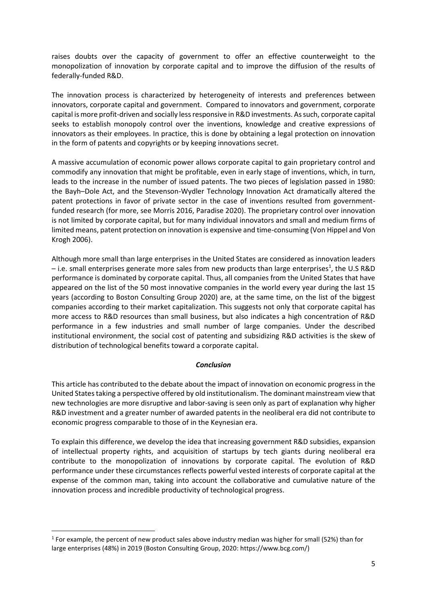raises doubts over the capacity of government to offer an effective counterweight to the monopolization of innovation by corporate capital and to improve the diffusion of the results of federally-funded R&D.

The innovation process is characterized by heterogeneity of interests and preferences between innovators, corporate capital and government. Compared to innovators and government, corporate capital is more profit-driven and socially less responsive in R&D investments. As such, corporate capital seeks to establish monopoly control over the inventions, knowledge and creative expressions of innovators as their employees. In practice, this is done by obtaining a legal protection on innovation in the form of patents and copyrights or by keeping innovations secret.

A massive accumulation of economic power allows corporate capital to gain proprietary control and commodify any innovation that might be profitable, even in early stage of inventions, which, in turn, leads to the increase in the number of issued patents. The two pieces of legislation passed in 1980: the Bayh–Dole Act, and the Stevenson-Wydler Technology Innovation Act dramatically altered the patent protections in favor of private sector in the case of inventions resulted from governmentfunded research (for more, see Morris 2016, Paradise 2020). The proprietary control over innovation is not limited by corporate capital, but for many individual innovators and small and medium firms of limited means, patent protection on innovation is expensive and time-consuming (Von Hippel and Von Krogh 2006).

Although more small than large enterprises in the United States are considered as innovation leaders – i.e. small enterprises generate more sales from new products than large enterprises<sup>1</sup>, the U.S R&D performance is dominated by corporate capital. Thus, all companies from the United States that have appeared on the list of the 50 most innovative companies in the world every year during the last 15 years (according to Boston Consulting Group 2020) are, at the same time, on the list of the biggest companies according to their market capitalization. This suggests not only that corporate capital has more access to R&D resources than small business, but also indicates a high concentration of R&D performance in a few industries and small number of large companies. Under the described institutional environment, the social cost of patenting and subsidizing R&D activities is the skew of distribution of technological benefits toward a corporate capital.

# *Conclusion*

This article has contributed to the debate about the impact of innovation on economic progress in the United States taking a perspective offered by old institutionalism. The dominant mainstream view that new technologies are more disruptive and labor-saving is seen only as part of explanation why higher R&D investment and a greater number of awarded patents in the neoliberal era did not contribute to economic progress comparable to those of in the Keynesian era.

To explain this difference, we develop the idea that increasing government R&D subsidies, expansion of intellectual property rights, and acquisition of startups by tech giants during neoliberal era contribute to the monopolization of innovations by corporate capital. The evolution of R&D performance under these circumstances reflects powerful vested interests of corporate capital at the expense of the common man, taking into account the collaborative and cumulative nature of the innovation process and incredible productivity of technological progress.

<sup>1</sup> <sup>1</sup> For example, the percent of new product sales above industry median was higher for small (52%) than for large enterprises (48%) in 2019 (Boston Consulting Group, 2020: https://www.bcg.com/)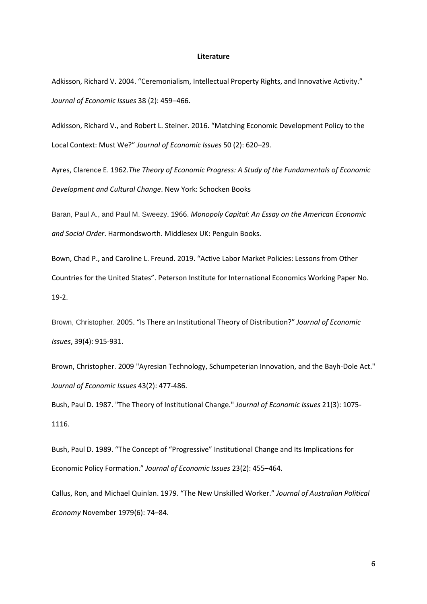#### **Literature**

Adkisson, Richard V. 2004. "Ceremonialism, Intellectual Property Rights, and Innovative Activity." *Journal of Economic Issues* 38 (2): 459–466.

Adkisson, Richard V., and Robert L. Steiner. 2016. "Matching Economic Development Policy to the Local Context: Must We?" *Journal of Economic Issues* 50 (2): 620–29.

Ayres, Clarence E. 1962.*The Theory of Economic Progress: A Study of the Fundamentals of Economic Development and Cultural Change*. New York: Schocken Books

Baran, Paul A., and Paul M. Sweezy. 1966. *Monopoly Capital: An Essay on the American Economic and Social Order*. Harmondsworth. Middlesex UK: Penguin Books.

Bown, Chad P., and Caroline L. Freund. 2019. "Active Labor Market Policies: Lessons from Other Countries for the United States". Peterson Institute for International Economics Working Paper No. 19-2.

Brown, Christopher. 2005. "Is There an Institutional Theory of Distribution?" *Journal of Economic Issues*, 39(4): 915-931.

Brown, Christopher. 2009 "Ayresian Technology, Schumpeterian Innovation, and the Bayh-Dole Act." *Journal of Economic Issues* 43(2): 477-486.

Bush, Paul D. 1987. "The Theory of Institutional Change." *Journal of Economic Issues* 21(3): 1075- 1116.

Bush, Paul D. 1989. "The Concept of "Progressive" Institutional Change and Its Implications for Economic Policy Formation." *Journal of Economic Issues* 23(2): 455–464.

Callus, Ron, and Michael Quinlan. 1979. "The New Unskilled Worker." *Journal of Australian Political Economy* November 1979(6): 74–84.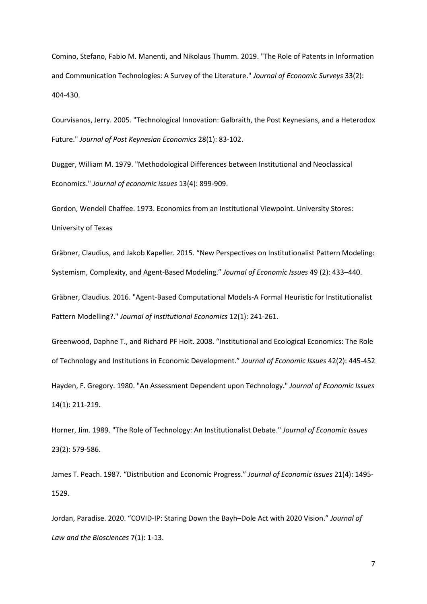Comino, Stefano, Fabio M. Manenti, and Nikolaus Thumm. 2019. "The Role of Patents in Information and Communication Technologies: A Survey of the Literature." *Journal of Economic Surveys* 33(2): 404-430.

Courvisanos, Jerry. 2005. "Technological Innovation: Galbraith, the Post Keynesians, and a Heterodox Future." *Journal of Post Keynesian Economics* 28(1): 83-102.

Dugger, William M. 1979. "Methodological Differences between Institutional and Neoclassical Economics." *Journal of economic issues* 13(4): 899-909.

Gordon, Wendell Chaffee. 1973. Economics from an Institutional Viewpoint. University Stores: University of Texas

Gräbner, Claudius, and Jakob Kapeller. 2015. "New Perspectives on Institutionalist Pattern Modeling: Systemism, Complexity, and Agent-Based Modeling." *Journal of Economic Issues* 49 (2): 433–440.

Gräbner, Claudius. 2016. "Agent-Based Computational Models-A Formal Heuristic for Institutionalist Pattern Modelling?." *Journal of Institutional Economics* 12(1): 241-261.

Greenwood, Daphne T., and Richard PF Holt. 2008. "Institutional and Ecological Economics: The Role of Technology and Institutions in Economic Development." *Journal of Economic Issues* 42(2): 445-452 Hayden, F. Gregory. 1980. "An Assessment Dependent upon Technology." *Journal of Economic Issues*  14(1): 211-219.

Horner, Jim. 1989. "The Role of Technology: An Institutionalist Debate." *Journal of Economic Issues* 23(2): 579-586.

James T. Peach. 1987. "Distribution and Economic Progress." *Journal of Economic Issues* 21(4): 1495- 1529.

Jordan, Paradise. 2020. "COVID-IP: Staring Down the Bayh–Dole Act with 2020 Vision." *Journal of Law and the Biosciences* 7(1): 1-13.

7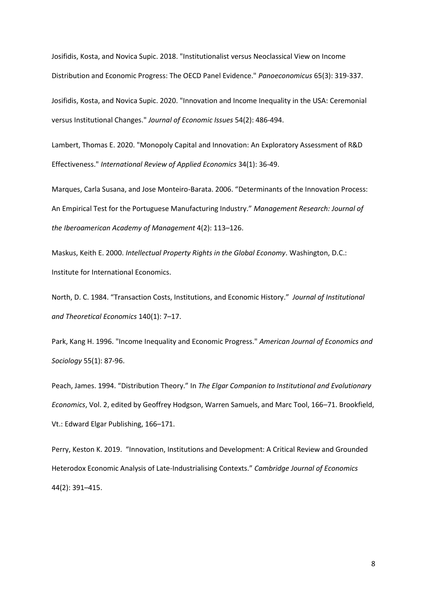Josifidis, Kosta, and Novica Supic. 2018. "Institutionalist versus Neoclassical View on Income Distribution and Economic Progress: The OECD Panel Evidence." *Panoeconomicus* 65(3): 319-337.

Josifidis, Kosta, and Novica Supic. 2020. "Innovation and Income Inequality in the USA: Ceremonial versus Institutional Changes." *Journal of Economic Issues* 54(2): 486-494.

Lambert, Thomas E. 2020. "Monopoly Capital and Innovation: An Exploratory Assessment of R&D Effectiveness." *International Review of Applied Economics* 34(1): 36-49.

Marques, Carla Susana, and Jose Monteiro-Barata. 2006. "Determinants of the Innovation Process: An Empirical Test for the Portuguese Manufacturing Industry." *Management Research: Journal of the Iberoamerican Academy of Management* 4(2): 113–126.

Maskus, Keith E. 2000. *Intellectual Property Rights in the Global Economy*. Washington, D.C.: Institute for International Economics.

North, D. C. 1984. "Transaction Costs, Institutions, and Economic History." *Journal of Institutional and Theoretical Economics* 140(1): 7–17.

Park, Kang H. 1996. "Income Inequality and Economic Progress." *American Journal of Economics and Sociology* 55(1): 87-96.

Peach, James. 1994. "Distribution Theory." In *The Elgar Companion to Institutional and Evolutionary Economics*, Vol. 2, edited by Geoffrey Hodgson, Warren Samuels, and Marc Tool, 166–71. Brookfield, Vt.: Edward Elgar Publishing, 166–171.

Perry, Keston K. 2019. "Innovation, Institutions and Development: A Critical Review and Grounded Heterodox Economic Analysis of Late-Industrialising Contexts." *Cambridge Journal of Economics* 44(2): 391–415.